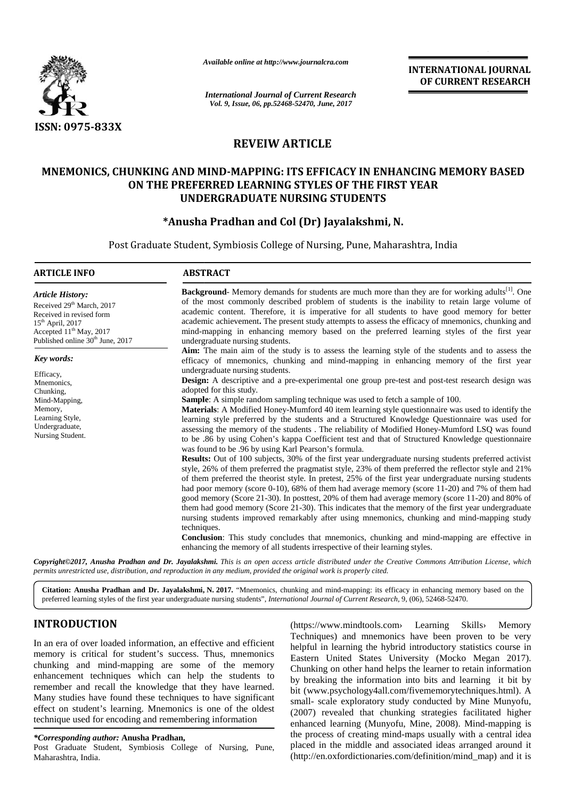

*Available online at http://www.journalcra.com*

**INTERNATIONAL JOURNAL OF CURRENT RESEARCH**

## **REVEIW ARTICLE ARTICLE**

# **MNEMONICS, CHUNKING AND MIND-MAPPING: ITS EFFICACY IN ENHANCING MEMORY BASED ON THE PREFERRED LEARNING STYLES OF THE FIRST YEAR UNDERGRADUATE NURSING STUDENTS E PREFERRED LEARNING: ITS EFFICACY IN ENHANCI<br>E PREFERRED LEARNING STYLES OF THE FIRST YE<br>UNDERGRADUATE NURSING STUDENTS<br>\*Anusha Pradhan and Col (Dr) Jayalakshmi, N.**

|                                                                                                                                                                                                                                                                                                                                                                                                                                                                                                                                                                                                                                          |                                                                                                                                                                                                                                                                                                                                                                                                                                                                                                                                                                                                                                                                                                                                                                                                                                                                                                                                                                                                                                                                                                                                                                                                                                                                                                                                                                                                                                                                                                                                                                                                                                                                                                                                                                                                                       |                                                                               | OF CURRENT RESEARCH                                                                                                                                                                                                                                                                                                                                                                                                                                                                                                                                                                                                                                                                                                                              |  |  |
|------------------------------------------------------------------------------------------------------------------------------------------------------------------------------------------------------------------------------------------------------------------------------------------------------------------------------------------------------------------------------------------------------------------------------------------------------------------------------------------------------------------------------------------------------------------------------------------------------------------------------------------|-----------------------------------------------------------------------------------------------------------------------------------------------------------------------------------------------------------------------------------------------------------------------------------------------------------------------------------------------------------------------------------------------------------------------------------------------------------------------------------------------------------------------------------------------------------------------------------------------------------------------------------------------------------------------------------------------------------------------------------------------------------------------------------------------------------------------------------------------------------------------------------------------------------------------------------------------------------------------------------------------------------------------------------------------------------------------------------------------------------------------------------------------------------------------------------------------------------------------------------------------------------------------------------------------------------------------------------------------------------------------------------------------------------------------------------------------------------------------------------------------------------------------------------------------------------------------------------------------------------------------------------------------------------------------------------------------------------------------------------------------------------------------------------------------------------------------|-------------------------------------------------------------------------------|--------------------------------------------------------------------------------------------------------------------------------------------------------------------------------------------------------------------------------------------------------------------------------------------------------------------------------------------------------------------------------------------------------------------------------------------------------------------------------------------------------------------------------------------------------------------------------------------------------------------------------------------------------------------------------------------------------------------------------------------------|--|--|
|                                                                                                                                                                                                                                                                                                                                                                                                                                                                                                                                                                                                                                          | <b>International Journal of Current Research</b><br>Vol. 9, Issue, 06, pp.52468-52470, June, 2017                                                                                                                                                                                                                                                                                                                                                                                                                                                                                                                                                                                                                                                                                                                                                                                                                                                                                                                                                                                                                                                                                                                                                                                                                                                                                                                                                                                                                                                                                                                                                                                                                                                                                                                     |                                                                               |                                                                                                                                                                                                                                                                                                                                                                                                                                                                                                                                                                                                                                                                                                                                                  |  |  |
| ISSN: 0975-833X                                                                                                                                                                                                                                                                                                                                                                                                                                                                                                                                                                                                                          |                                                                                                                                                                                                                                                                                                                                                                                                                                                                                                                                                                                                                                                                                                                                                                                                                                                                                                                                                                                                                                                                                                                                                                                                                                                                                                                                                                                                                                                                                                                                                                                                                                                                                                                                                                                                                       |                                                                               |                                                                                                                                                                                                                                                                                                                                                                                                                                                                                                                                                                                                                                                                                                                                                  |  |  |
|                                                                                                                                                                                                                                                                                                                                                                                                                                                                                                                                                                                                                                          | <b>REVEIW ARTICLE</b>                                                                                                                                                                                                                                                                                                                                                                                                                                                                                                                                                                                                                                                                                                                                                                                                                                                                                                                                                                                                                                                                                                                                                                                                                                                                                                                                                                                                                                                                                                                                                                                                                                                                                                                                                                                                 |                                                                               |                                                                                                                                                                                                                                                                                                                                                                                                                                                                                                                                                                                                                                                                                                                                                  |  |  |
|                                                                                                                                                                                                                                                                                                                                                                                                                                                                                                                                                                                                                                          |                                                                                                                                                                                                                                                                                                                                                                                                                                                                                                                                                                                                                                                                                                                                                                                                                                                                                                                                                                                                                                                                                                                                                                                                                                                                                                                                                                                                                                                                                                                                                                                                                                                                                                                                                                                                                       |                                                                               |                                                                                                                                                                                                                                                                                                                                                                                                                                                                                                                                                                                                                                                                                                                                                  |  |  |
| MNEMONICS, CHUNKING AND MIND-MAPPING: ITS EFFICACY IN ENHANCING MEMORY BASED<br>ON THE PREFERRED LEARNING STYLES OF THE FIRST YEAR<br><b>UNDERGRADUATE NURSING STUDENTS</b><br>*Anusha Pradhan and Col (Dr) Jayalakshmi, N.                                                                                                                                                                                                                                                                                                                                                                                                              |                                                                                                                                                                                                                                                                                                                                                                                                                                                                                                                                                                                                                                                                                                                                                                                                                                                                                                                                                                                                                                                                                                                                                                                                                                                                                                                                                                                                                                                                                                                                                                                                                                                                                                                                                                                                                       |                                                                               |                                                                                                                                                                                                                                                                                                                                                                                                                                                                                                                                                                                                                                                                                                                                                  |  |  |
|                                                                                                                                                                                                                                                                                                                                                                                                                                                                                                                                                                                                                                          |                                                                                                                                                                                                                                                                                                                                                                                                                                                                                                                                                                                                                                                                                                                                                                                                                                                                                                                                                                                                                                                                                                                                                                                                                                                                                                                                                                                                                                                                                                                                                                                                                                                                                                                                                                                                                       | Post Graduate Student, Symbiosis College of Nursing, Pune, Maharashtra, India |                                                                                                                                                                                                                                                                                                                                                                                                                                                                                                                                                                                                                                                                                                                                                  |  |  |
| <b>ARTICLE INFO</b>                                                                                                                                                                                                                                                                                                                                                                                                                                                                                                                                                                                                                      | <b>ABSTRACT</b>                                                                                                                                                                                                                                                                                                                                                                                                                                                                                                                                                                                                                                                                                                                                                                                                                                                                                                                                                                                                                                                                                                                                                                                                                                                                                                                                                                                                                                                                                                                                                                                                                                                                                                                                                                                                       |                                                                               |                                                                                                                                                                                                                                                                                                                                                                                                                                                                                                                                                                                                                                                                                                                                                  |  |  |
| <b>Article History:</b><br>Received 29 <sup>th</sup> March, 2017<br>Received in revised form<br>15 <sup>th</sup> April, 2017<br>Accepted 11 <sup>th</sup> May, 2017<br>Published online 30 <sup>th</sup> June, 2017                                                                                                                                                                                                                                                                                                                                                                                                                      | <b>Background</b> Memory demands for students are much more than they are for working adults <sup>[1]</sup> . One<br>of the most commonly described problem of students is the inability to retain large volume of<br>academic content. Therefore, it is imperative for all students to have good memory for better<br>academic achievement. The present study attempts to assess the efficacy of mnemonics, chunking and<br>mind-mapping in enhancing memory based on the preferred learning styles of the first year<br>undergraduate nursing students.                                                                                                                                                                                                                                                                                                                                                                                                                                                                                                                                                                                                                                                                                                                                                                                                                                                                                                                                                                                                                                                                                                                                                                                                                                                             |                                                                               |                                                                                                                                                                                                                                                                                                                                                                                                                                                                                                                                                                                                                                                                                                                                                  |  |  |
| Key words:                                                                                                                                                                                                                                                                                                                                                                                                                                                                                                                                                                                                                               | Aim: The main aim of the study is to assess the learning style of the students and to assess the<br>efficacy of mnemonics, chunking and mind-mapping in enhancing memory of the first year                                                                                                                                                                                                                                                                                                                                                                                                                                                                                                                                                                                                                                                                                                                                                                                                                                                                                                                                                                                                                                                                                                                                                                                                                                                                                                                                                                                                                                                                                                                                                                                                                            |                                                                               |                                                                                                                                                                                                                                                                                                                                                                                                                                                                                                                                                                                                                                                                                                                                                  |  |  |
| Efficacy,<br>Mnemonics,<br>Chunking,<br>Mind-Mapping,<br>Memory,<br>Learning Style,<br>Undergraduate,<br>Nursing Student.                                                                                                                                                                                                                                                                                                                                                                                                                                                                                                                | undergraduate nursing students.<br><b>Design:</b> A descriptive and a pre-experimental one group pre-test and post-test research design was<br>adopted for this study.<br>Sample: A simple random sampling technique was used to fetch a sample of 100.<br>Materials: A Modified Honey-Mumford 40 item learning style questionnaire was used to identify the<br>learning style preferred by the students and a Structured Knowledge Questionnaire was used for<br>assessing the memory of the students . The reliability of Modified Honey-Mumford LSQ was found<br>to be .86 by using Cohen's kappa Coefficient test and that of Structured Knowledge questionnaire<br>was found to be .96 by using Karl Pearson's formula.<br>Results: Out of 100 subjects, 30% of the first year undergraduate nursing students preferred activist<br>style, 26% of them preferred the pragmatist style, 23% of them preferred the reflector style and 21%<br>of them preferred the theorist style. In pretest, 25% of the first year undergraduate nursing students<br>had poor memory (score 0-10), 68% of them had average memory (score 11-20) and 7% of them had<br>good memory (Score 21-30). In posttest, 20% of them had average memory (score 11-20) and 80% of<br>them had good memory (Score 21-30). This indicates that the memory of the first year undergraduate<br>nursing students improved remarkably after using mnemonics, chunking and mind-mapping study<br>techniques.<br>Conclusion: This study concludes that mnemonics, chunking and mind-mapping are effective in<br>enhancing the memory of all students irrespective of their learning styles.<br>Copyright©2017, Anusha Pradhan and Dr. Jayalakshmi. This is an open access article distributed under the Creative Commons Attribution License, which |                                                                               |                                                                                                                                                                                                                                                                                                                                                                                                                                                                                                                                                                                                                                                                                                                                                  |  |  |
| permits unrestricted use, distribution, and reproduction in any medium, provided the original work is properly cited.                                                                                                                                                                                                                                                                                                                                                                                                                                                                                                                    |                                                                                                                                                                                                                                                                                                                                                                                                                                                                                                                                                                                                                                                                                                                                                                                                                                                                                                                                                                                                                                                                                                                                                                                                                                                                                                                                                                                                                                                                                                                                                                                                                                                                                                                                                                                                                       |                                                                               |                                                                                                                                                                                                                                                                                                                                                                                                                                                                                                                                                                                                                                                                                                                                                  |  |  |
| Citation: Anusha Pradhan and Dr. Jayalakshmi, N. 2017. "Mnemonics, chunking and mind-mapping: its efficacy in enhancing memory based on the<br>preferred learning styles of the first year undergraduate nursing students", International Journal of Current Research, 9, (06), 52468-52470.                                                                                                                                                                                                                                                                                                                                             |                                                                                                                                                                                                                                                                                                                                                                                                                                                                                                                                                                                                                                                                                                                                                                                                                                                                                                                                                                                                                                                                                                                                                                                                                                                                                                                                                                                                                                                                                                                                                                                                                                                                                                                                                                                                                       |                                                                               |                                                                                                                                                                                                                                                                                                                                                                                                                                                                                                                                                                                                                                                                                                                                                  |  |  |
| <b>INTRODUCTION</b><br>In an era of over loaded information, an effective and efficient<br>memory is critical for student's success. Thus, mnemonics<br>chunking and mind-mapping are some of the memory<br>enhancement techniques which can help the students to<br>remember and recall the knowledge that they have learned.<br>Many studies have found these techniques to have significant<br>effect on student's learning. Mnemonics is one of the oldest<br>technique used for encoding and remembering information<br><i>*Corresponding author: Anusha Pradhan,</i><br>Post Graduate Student, Symbiosis College of Nursing, Pune, |                                                                                                                                                                                                                                                                                                                                                                                                                                                                                                                                                                                                                                                                                                                                                                                                                                                                                                                                                                                                                                                                                                                                                                                                                                                                                                                                                                                                                                                                                                                                                                                                                                                                                                                                                                                                                       | (https://www.mindtools.com>                                                   | Learning<br><b>Skills</b><br>Memory<br>Techniques) and mnemonics have been proven to be very<br>helpful in learning the hybrid introductory statistics course in<br>Eastern United States University (Mocko Megan 2017).<br>Chunking on other hand helps the learner to retain information<br>by breaking the information into bits and learning it bit by<br>bit (www.psychology4all.com/fivememorytechniques.html). A<br>small- scale exploratory study conducted by Mine Munyofu,<br>(2007) revealed that chunking strategies facilitated higher<br>enhanced learning (Munyofu, Mine, 2008). Mind-mapping is<br>the process of creating mind-maps usually with a central idea<br>placed in the middle and associated ideas arranged around it |  |  |

## **INTRODUCTION INTRODUCTION**

### *\*Corresponding author:* **Anusha Pradhan,** *\*Corresponding*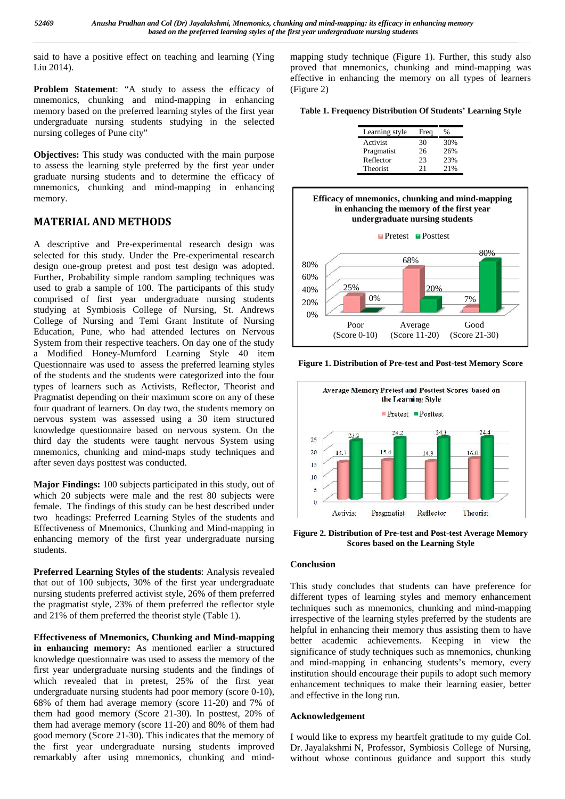said to have a positive effect on teaching and learning (Ying Liu 2014).

**Problem Statement**: "A study to assess the efficacy of mnemonics, chunking and mind-mapping in enhancing memory based on the preferred learning styles of the first year undergraduate nursing students studying in the selected nursing colleges of Pune city"

**Objectives:** This study was conducted with the main purpose to assess the learning style preferred by the first year under graduate nursing students and to determine the efficacy of mnemonics, chunking and mind-mapping in enhancing memory.

## **MATERIAL AND METHODS**

A descriptive and Pre-experimental research design was selected for this study. Under the Pre-experimental research design one-group pretest and post test design was adopted. Further, Probability simple random sampling techniques was used to grab a sample of 100. The participants of this study comprised of first year undergraduate nursing students studying at Symbiosis College of Nursing, St. Andrews College of Nursing and Temi Grant Institute of Nursing Education, Pune, who had attended lectures on Nervous System from their respective teachers. On day one of the study a Modified Honey-Mumford Learning Style 40 item Questionnaire was used to assess the preferred learning styles of the students and the students were categorized into the four types of learners such as Activists, Reflector, Theorist and Pragmatist depending on their maximum score on any of these four quadrant of learners. On day two, the students memory on nervous system was assessed using a 30 item structured knowledge questionnaire based on nervous system. On the third day the students were taught nervous System using mnemonics, chunking and mind-maps study techniques and after seven days posttest was conducted.

**Major Findings:** 100 subjects participated in this study, out of which 20 subjects were male and the rest 80 subjects were female. The findings of this study can be best described under two headings: Preferred Learning Styles of the students and Effectiveness of Mnemonics, Chunking and Mind-mapping in enhancing memory of the first year undergraduate nursing students.

**Preferred Learning Styles of the students**: Analysis revealed that out of 100 subjects, 30% of the first year undergraduate nursing students preferred activist style, 26% of them preferred the pragmatist style, 23% of them preferred the reflector style and 21% of them preferred the theorist style (Table 1).

**Effectiveness of Mnemonics, Chunking and Mind-mapping in enhancing memory:** As mentioned earlier a structured knowledge questionnaire was used to assess the memory of the first year undergraduate nursing students and the findings of which revealed that in pretest, 25% of the first year undergraduate nursing students had poor memory (score 0-10), 68% of them had average memory (score 11-20) and 7% of them had good memory (Score 21-30). In posttest, 20% of them had average memory (score 11-20) and 80% of them had good memory (Score 21-30). This indicates that the memory of the first year undergraduate nursing students improved remarkably after using mnemonics, chunking and mindmapping study technique (Figure 1). Further, this study also proved that mnemonics, chunking and mind-mapping was effective in enhancing the memory on all types of learners (Figure 2)

**Table 1. Frequency Distribution Of Students' Learning Style**

| Learning style | Freq | %   |
|----------------|------|-----|
| Activist       | 30   | 30% |
| Pragmatist     | 26   | 26% |
| Reflector      | 23   | 23% |
| Theorist       | 21   | 21% |
|                |      |     |



**Figure 1. Distribution of Pre-test and Post-test Memory Score**



**Figure 2. Distribution of Pre-test and Post-test Average Memory Scores based on the Learning Style**

## **Conclusion**

This study concludes that students can have preference for different types of learning styles and memory enhancement techniques such as mnemonics, chunking and mind-mapping irrespective of the learning styles preferred by the students are helpful in enhancing their memory thus assisting them to have better academic achievements. Keeping in view the significance of study techniques such as mnemonics, chunking and mind-mapping in enhancing students's memory, every institution should encourage their pupils to adopt such memory enhancement techniques to make their learning easier, better and effective in the long run.

## **Acknowledgement**

I would like to express my heartfelt gratitude to my guide Col. Dr. Jayalakshmi N, Professor, Symbiosis College of Nursing, without whose continous guidance and support this study